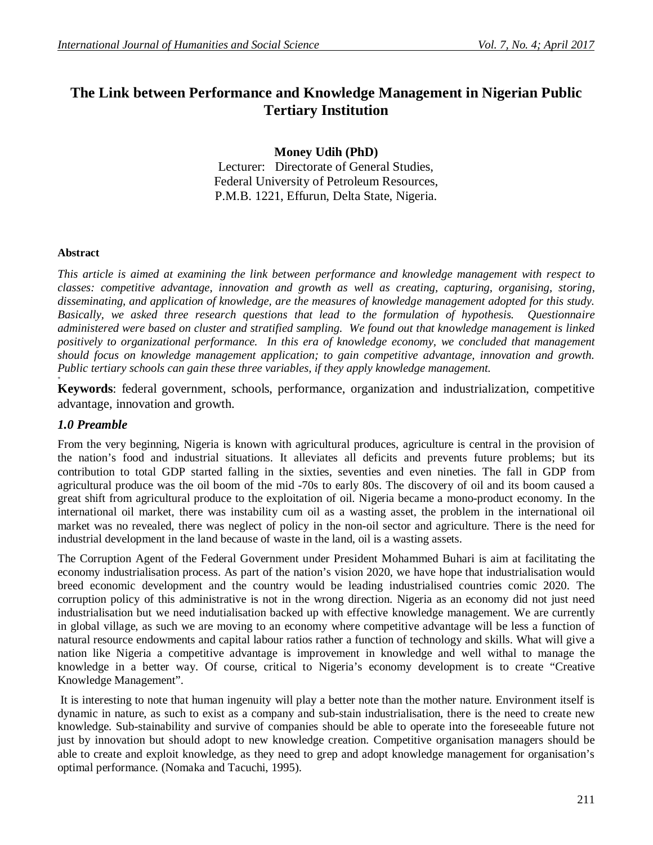# **The Link between Performance and Knowledge Management in Nigerian Public Tertiary Institution**

**Money Udih (PhD)**

Lecturer: Directorate of General Studies, Federal University of Petroleum Resources, P.M.B. 1221, Effurun, Delta State, Nigeria.

### **Abstract**

*This article is aimed at examining the link between performance and knowledge management with respect to classes: competitive advantage, innovation and growth as well as creating, capturing, organising, storing, disseminating, and application of knowledge, are the measures of knowledge management adopted for this study. Basically, we asked three research questions that lead to the formulation of hypothesis. Questionnaire administered were based on cluster and stratified sampling. We found out that knowledge management is linked positively to organizational performance. In this era of knowledge economy, we concluded that management should focus on knowledge management application; to gain competitive advantage, innovation and growth. Public tertiary schools can gain these three variables, if they apply knowledge management.*

**Keywords**: federal government, schools, performance, organization and industrialization, competitive advantage, innovation and growth.

# *1.0 Preamble*

**+**

From the very beginning, Nigeria is known with agricultural produces, agriculture is central in the provision of the nation's food and industrial situations. It alleviates all deficits and prevents future problems; but its contribution to total GDP started falling in the sixties, seventies and even nineties. The fall in GDP from agricultural produce was the oil boom of the mid -70s to early 80s. The discovery of oil and its boom caused a great shift from agricultural produce to the exploitation of oil. Nigeria became a mono-product economy. In the international oil market, there was instability cum oil as a wasting asset, the problem in the international oil market was no revealed, there was neglect of policy in the non-oil sector and agriculture. There is the need for industrial development in the land because of waste in the land, oil is a wasting assets.

The Corruption Agent of the Federal Government under President Mohammed Buhari is aim at facilitating the economy industrialisation process. As part of the nation's vision 2020, we have hope that industrialisation would breed economic development and the country would be leading industrialised countries comic 2020. The corruption policy of this administrative is not in the wrong direction. Nigeria as an economy did not just need industrialisation but we need indutialisation backed up with effective knowledge management. We are currently in global village, as such we are moving to an economy where competitive advantage will be less a function of natural resource endowments and capital labour ratios rather a function of technology and skills. What will give a nation like Nigeria a competitive advantage is improvement in knowledge and well withal to manage the knowledge in a better way. Of course, critical to Nigeria's economy development is to create "Creative Knowledge Management".

It is interesting to note that human ingenuity will play a better note than the mother nature. Environment itself is dynamic in nature, as such to exist as a company and sub-stain industrialisation, there is the need to create new knowledge. Sub-stainability and survive of companies should be able to operate into the foreseeable future not just by innovation but should adopt to new knowledge creation. Competitive organisation managers should be able to create and exploit knowledge, as they need to grep and adopt knowledge management for organisation's optimal performance. (Nomaka and Tacuchi, 1995).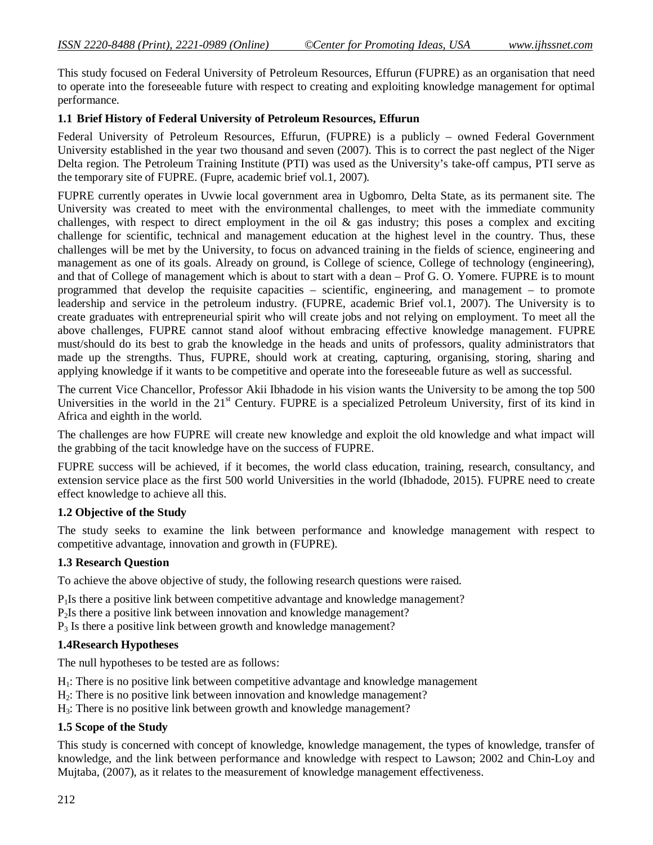This study focused on Federal University of Petroleum Resources, Effurun (FUPRE) as an organisation that need to operate into the foreseeable future with respect to creating and exploiting knowledge management for optimal performance.

### **1.1 Brief History of Federal University of Petroleum Resources, Effurun**

Federal University of Petroleum Resources, Effurun, (FUPRE) is a publicly – owned Federal Government University established in the year two thousand and seven (2007). This is to correct the past neglect of the Niger Delta region. The Petroleum Training Institute (PTI) was used as the University's take-off campus, PTI serve as the temporary site of FUPRE. (Fupre, academic brief vol.1, 2007).

FUPRE currently operates in Uvwie local government area in Ugbomro, Delta State, as its permanent site. The University was created to meet with the environmental challenges, to meet with the immediate community challenges, with respect to direct employment in the oil & gas industry; this poses a complex and exciting challenge for scientific, technical and management education at the highest level in the country. Thus, these challenges will be met by the University, to focus on advanced training in the fields of science, engineering and management as one of its goals. Already on ground, is College of science, College of technology (engineering), and that of College of management which is about to start with a dean – Prof G. O. Yomere. FUPRE is to mount programmed that develop the requisite capacities – scientific, engineering, and management – to promote leadership and service in the petroleum industry. (FUPRE, academic Brief vol.1, 2007). The University is to create graduates with entrepreneurial spirit who will create jobs and not relying on employment. To meet all the above challenges, FUPRE cannot stand aloof without embracing effective knowledge management. FUPRE must/should do its best to grab the knowledge in the heads and units of professors, quality administrators that made up the strengths. Thus, FUPRE, should work at creating, capturing, organising, storing, sharing and applying knowledge if it wants to be competitive and operate into the foreseeable future as well as successful.

The current Vice Chancellor, Professor Akii Ibhadode in his vision wants the University to be among the top 500 Universities in the world in the 21<sup>st</sup> Century. FUPRE is a specialized Petroleum University, first of its kind in Africa and eighth in the world.

The challenges are how FUPRE will create new knowledge and exploit the old knowledge and what impact will the grabbing of the tacit knowledge have on the success of FUPRE.

FUPRE success will be achieved, if it becomes, the world class education, training, research, consultancy, and extension service place as the first 500 world Universities in the world (Ibhadode, 2015). FUPRE need to create effect knowledge to achieve all this.

### **1.2 Objective of the Study**

The study seeks to examine the link between performance and knowledge management with respect to competitive advantage, innovation and growth in (FUPRE).

### **1.3 Research Question**

To achieve the above objective of study, the following research questions were raised.

P<sub>1</sub>Is there a positive link between competitive advantage and knowledge management?

P2Is there a positive link between innovation and knowledge management?

 $P_3$  Is there a positive link between growth and knowledge management?

### **1.4Research Hypotheses**

The null hypotheses to be tested are as follows:

- H1: There is no positive link between competitive advantage and knowledge management
- H<sub>2</sub>: There is no positive link between innovation and knowledge management?
- H3: There is no positive link between growth and knowledge management?

### **1.5 Scope of the Study**

This study is concerned with concept of knowledge, knowledge management, the types of knowledge, transfer of knowledge, and the link between performance and knowledge with respect to Lawson; 2002 and Chin-Loy and Mujtaba, (2007), as it relates to the measurement of knowledge management effectiveness.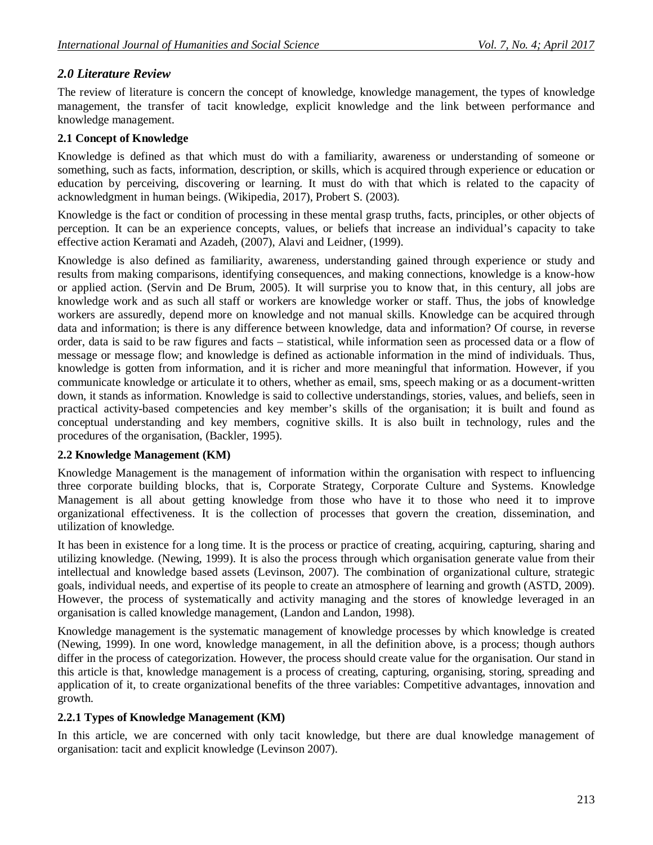# *2.0 Literature Review*

The review of literature is concern the concept of knowledge, knowledge management, the types of knowledge management, the transfer of tacit knowledge, explicit knowledge and the link between performance and knowledge management.

# **2.1 Concept of Knowledge**

Knowledge is defined as that which must do with a familiarity, awareness or understanding of someone or something, such as facts, information, description, or skills, which is acquired through experience or education or education by perceiving, discovering or learning. It must do with that which is related to the capacity of acknowledgment in human beings. (Wikipedia, 2017), Probert S. (2003).

Knowledge is the fact or condition of processing in these mental grasp truths, facts, principles, or other objects of perception. It can be an experience concepts, values, or beliefs that increase an individual's capacity to take effective action Keramati and Azadeh, (2007), Alavi and Leidner, (1999).

Knowledge is also defined as familiarity, awareness, understanding gained through experience or study and results from making comparisons, identifying consequences, and making connections, knowledge is a know-how or applied action. (Servin and De Brum, 2005). It will surprise you to know that, in this century, all jobs are knowledge work and as such all staff or workers are knowledge worker or staff. Thus, the jobs of knowledge workers are assuredly, depend more on knowledge and not manual skills. Knowledge can be acquired through data and information; is there is any difference between knowledge, data and information? Of course, in reverse order, data is said to be raw figures and facts – statistical, while information seen as processed data or a flow of message or message flow; and knowledge is defined as actionable information in the mind of individuals. Thus, knowledge is gotten from information, and it is richer and more meaningful that information. However, if you communicate knowledge or articulate it to others, whether as email, sms, speech making or as a document-written down, it stands as information. Knowledge is said to collective understandings, stories, values, and beliefs, seen in practical activity-based competencies and key member's skills of the organisation; it is built and found as conceptual understanding and key members, cognitive skills. It is also built in technology, rules and the procedures of the organisation, (Backler, 1995).

# **2.2 Knowledge Management (KM)**

Knowledge Management is the management of information within the organisation with respect to influencing three corporate building blocks, that is, Corporate Strategy, Corporate Culture and Systems. Knowledge Management is all about getting knowledge from those who have it to those who need it to improve organizational effectiveness. It is the collection of processes that govern the creation, dissemination, and utilization of knowledge.

It has been in existence for a long time. It is the process or practice of creating, acquiring, capturing, sharing and utilizing knowledge. (Newing, 1999). It is also the process through which organisation generate value from their intellectual and knowledge based assets (Levinson, 2007). The combination of organizational culture, strategic goals, individual needs, and expertise of its people to create an atmosphere of learning and growth (ASTD, 2009). However, the process of systematically and activity managing and the stores of knowledge leveraged in an organisation is called knowledge management, (Landon and Landon, 1998).

Knowledge management is the systematic management of knowledge processes by which knowledge is created (Newing, 1999). In one word, knowledge management, in all the definition above, is a process; though authors differ in the process of categorization. However, the process should create value for the organisation. Our stand in this article is that, knowledge management is a process of creating, capturing, organising, storing, spreading and application of it, to create organizational benefits of the three variables: Competitive advantages, innovation and growth.

# **2.2.1 Types of Knowledge Management (KM)**

In this article, we are concerned with only tacit knowledge, but there are dual knowledge management of organisation: tacit and explicit knowledge (Levinson 2007).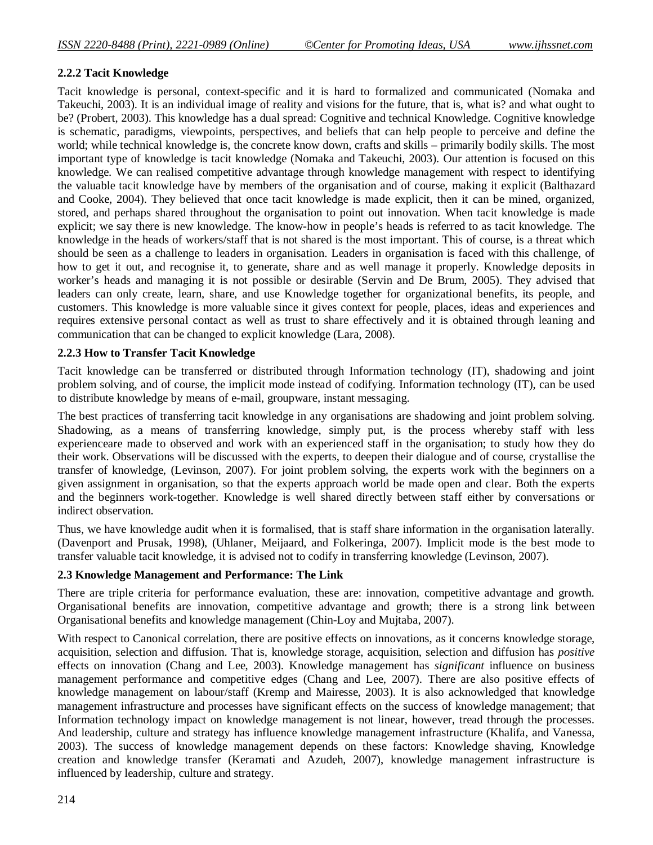### **2.2.2 Tacit Knowledge**

Tacit knowledge is personal, context-specific and it is hard to formalized and communicated (Nomaka and Takeuchi, 2003). It is an individual image of reality and visions for the future, that is, what is? and what ought to be? (Probert, 2003). This knowledge has a dual spread: Cognitive and technical Knowledge. Cognitive knowledge is schematic, paradigms, viewpoints, perspectives, and beliefs that can help people to perceive and define the world; while technical knowledge is, the concrete know down, crafts and skills – primarily bodily skills. The most important type of knowledge is tacit knowledge (Nomaka and Takeuchi, 2003). Our attention is focused on this knowledge. We can realised competitive advantage through knowledge management with respect to identifying the valuable tacit knowledge have by members of the organisation and of course, making it explicit (Balthazard and Cooke, 2004). They believed that once tacit knowledge is made explicit, then it can be mined, organized, stored, and perhaps shared throughout the organisation to point out innovation. When tacit knowledge is made explicit; we say there is new knowledge. The know-how in people's heads is referred to as tacit knowledge. The knowledge in the heads of workers/staff that is not shared is the most important. This of course, is a threat which should be seen as a challenge to leaders in organisation. Leaders in organisation is faced with this challenge, of how to get it out, and recognise it, to generate, share and as well manage it properly. Knowledge deposits in worker's heads and managing it is not possible or desirable (Servin and De Brum, 2005). They advised that leaders can only create, learn, share, and use Knowledge together for organizational benefits, its people, and customers. This knowledge is more valuable since it gives context for people, places, ideas and experiences and requires extensive personal contact as well as trust to share effectively and it is obtained through leaning and communication that can be changed to explicit knowledge (Lara, 2008).

### **2.2.3 How to Transfer Tacit Knowledge**

Tacit knowledge can be transferred or distributed through Information technology (IT), shadowing and joint problem solving, and of course, the implicit mode instead of codifying. Information technology (IT), can be used to distribute knowledge by means of e-mail, groupware, instant messaging.

The best practices of transferring tacit knowledge in any organisations are shadowing and joint problem solving. Shadowing, as a means of transferring knowledge, simply put, is the process whereby staff with less experienceare made to observed and work with an experienced staff in the organisation; to study how they do their work. Observations will be discussed with the experts, to deepen their dialogue and of course, crystallise the transfer of knowledge, (Levinson, 2007). For joint problem solving, the experts work with the beginners on a given assignment in organisation, so that the experts approach world be made open and clear. Both the experts and the beginners work-together. Knowledge is well shared directly between staff either by conversations or indirect observation.

Thus, we have knowledge audit when it is formalised, that is staff share information in the organisation laterally. (Davenport and Prusak, 1998), (Uhlaner, Meijaard, and Folkeringa, 2007). Implicit mode is the best mode to transfer valuable tacit knowledge, it is advised not to codify in transferring knowledge (Levinson, 2007).

### **2.3 Knowledge Management and Performance: The Link**

There are triple criteria for performance evaluation, these are: innovation, competitive advantage and growth. Organisational benefits are innovation, competitive advantage and growth; there is a strong link between Organisational benefits and knowledge management (Chin-Loy and Mujtaba, 2007).

With respect to Canonical correlation, there are positive effects on innovations, as it concerns knowledge storage, acquisition, selection and diffusion. That is, knowledge storage, acquisition, selection and diffusion has *positive* effects on innovation (Chang and Lee, 2003). Knowledge management has *significant* influence on business management performance and competitive edges (Chang and Lee, 2007). There are also positive effects of knowledge management on labour/staff (Kremp and Mairesse, 2003). It is also acknowledged that knowledge management infrastructure and processes have significant effects on the success of knowledge management; that Information technology impact on knowledge management is not linear, however, tread through the processes. And leadership, culture and strategy has influence knowledge management infrastructure (Khalifa, and Vanessa, 2003). The success of knowledge management depends on these factors: Knowledge shaving, Knowledge creation and knowledge transfer (Keramati and Azudeh, 2007), knowledge management infrastructure is influenced by leadership, culture and strategy.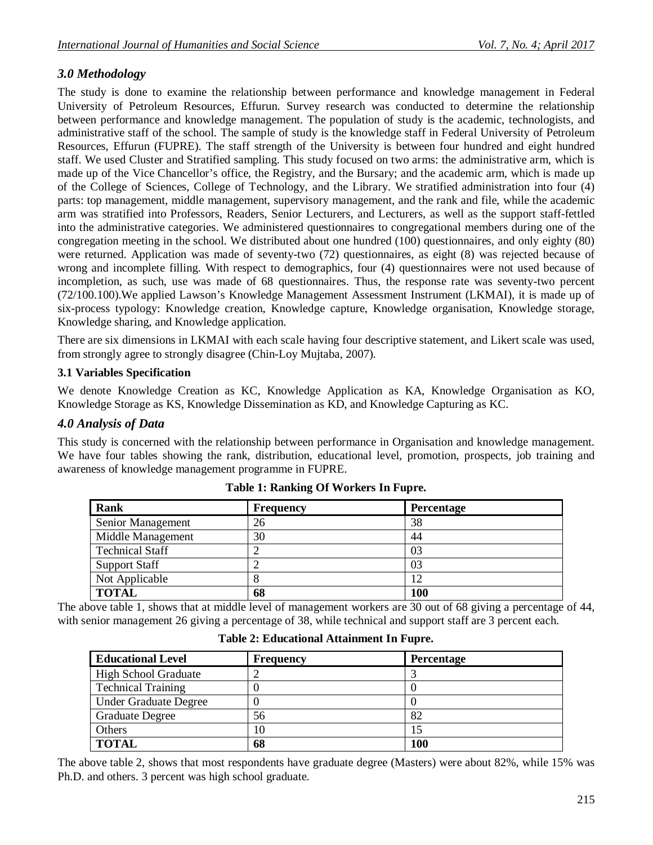# *3.0 Methodology*

The study is done to examine the relationship between performance and knowledge management in Federal University of Petroleum Resources, Effurun. Survey research was conducted to determine the relationship between performance and knowledge management. The population of study is the academic, technologists, and administrative staff of the school. The sample of study is the knowledge staff in Federal University of Petroleum Resources, Effurun (FUPRE). The staff strength of the University is between four hundred and eight hundred staff. We used Cluster and Stratified sampling. This study focused on two arms: the administrative arm, which is made up of the Vice Chancellor's office, the Registry, and the Bursary; and the academic arm, which is made up of the College of Sciences, College of Technology, and the Library. We stratified administration into four (4) parts: top management, middle management, supervisory management, and the rank and file, while the academic arm was stratified into Professors, Readers, Senior Lecturers, and Lecturers, as well as the support staff-fettled into the administrative categories. We administered questionnaires to congregational members during one of the congregation meeting in the school. We distributed about one hundred (100) questionnaires, and only eighty (80) were returned. Application was made of seventy-two (72) questionnaires, as eight (8) was rejected because of wrong and incomplete filling. With respect to demographics, four (4) questionnaires were not used because of incompletion, as such, use was made of 68 questionnaires. Thus, the response rate was seventy-two percent (72/100.100).We applied Lawson's Knowledge Management Assessment Instrument (LKMAI), it is made up of six-process typology: Knowledge creation, Knowledge capture, Knowledge organisation, Knowledge storage, Knowledge sharing, and Knowledge application.

There are six dimensions in LKMAI with each scale having four descriptive statement, and Likert scale was used, from strongly agree to strongly disagree (Chin-Loy Mujtaba, 2007).

# **3.1 Variables Specification**

We denote Knowledge Creation as KC, Knowledge Application as KA, Knowledge Organisation as KO, Knowledge Storage as KS, Knowledge Dissemination as KD, and Knowledge Capturing as KC.

# *4.0 Analysis of Data*

This study is concerned with the relationship between performance in Organisation and knowledge management. We have four tables showing the rank, distribution, educational level, promotion, prospects, job training and awareness of knowledge management programme in FUPRE.

| Rank                   | <b>Frequency</b> | Percentage |  |
|------------------------|------------------|------------|--|
| Senior Management      | 26               | 38         |  |
| Middle Management      | 30               | 44         |  |
| <b>Technical Staff</b> | ↩                | 03         |  |
| <b>Support Staff</b>   |                  | 03         |  |
| Not Applicable         | 8                | 12         |  |
| <b>TOTAL</b>           | 68               | 100        |  |

The above table 1, shows that at middle level of management workers are 30 out of 68 giving a percentage of 44, with senior management 26 giving a percentage of 38, while technical and support staff are 3 percent each.

| <b>Educational Level</b>     | <b>Frequency</b> | <b>Percentage</b> |
|------------------------------|------------------|-------------------|
| <b>High School Graduate</b>  |                  |                   |
| <b>Technical Training</b>    |                  |                   |
| <b>Under Graduate Degree</b> |                  |                   |
| <b>Graduate Degree</b>       | 56               | 82                |
| Others                       | 10               |                   |
| <b>TOTAL</b>                 | 68               | 100               |

**Table 2: Educational Attainment In Fupre.**

The above table 2, shows that most respondents have graduate degree (Masters) were about 82%, while 15% was Ph.D. and others. 3 percent was high school graduate.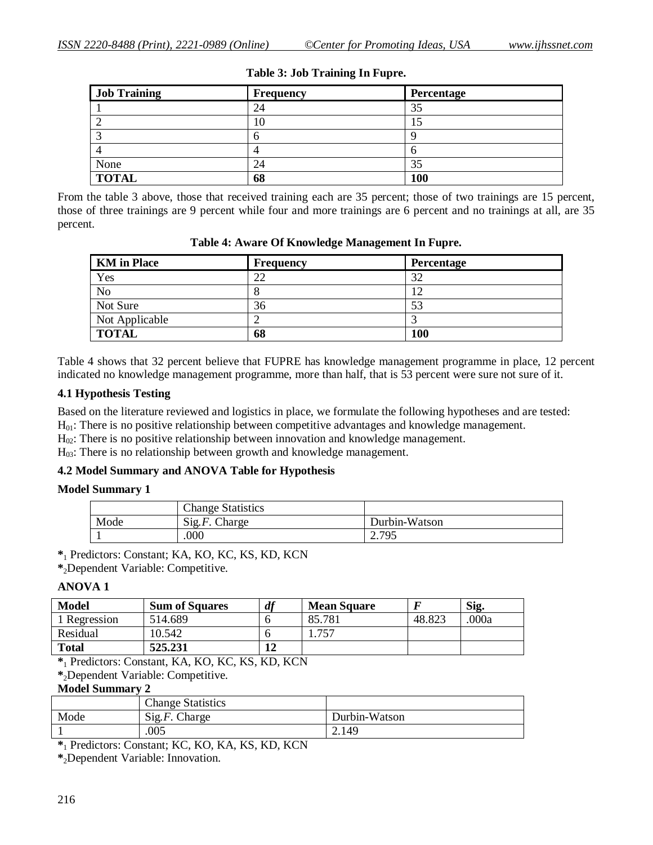| <b>Job Training</b> | <b>Frequency</b> | Percentage |
|---------------------|------------------|------------|
|                     | 24               | 35         |
|                     | 10               |            |
|                     | υ                |            |
|                     |                  |            |
| None                | 24               | 35         |
| <b>TOTAL</b>        | 68               | 100        |

### **Table 3: Job Training In Fupre.**

From the table 3 above, those that received training each are 35 percent; those of two trainings are 15 percent, those of three trainings are 9 percent while four and more trainings are 6 percent and no trainings at all, are 35 percent.

| <b>KM</b> in Place | Frequency | Percentage |
|--------------------|-----------|------------|
| Yes                | 22        | 32         |
| <b>No</b>          | О         | 12         |
| Not Sure           | 36        | 53         |
| Not Applicable     | ↩         |            |
| <b>TOTAL</b>       | 68        | 100        |

**Table 4: Aware Of Knowledge Management In Fupre.**

Table 4 shows that 32 percent believe that FUPRE has knowledge management programme in place, 12 percent indicated no knowledge management programme, more than half, that is 53 percent were sure not sure of it.

# **4.1 Hypothesis Testing**

Based on the literature reviewed and logistics in place, we formulate the following hypotheses and are tested:  $H<sub>01</sub>$ : There is no positive relationship between competitive advantages and knowledge management.

 $H<sub>02</sub>$ : There is no positive relationship between innovation and knowledge management.

H<sub>03</sub>: There is no relationship between growth and knowledge management.

# **4.2 Model Summary and ANOVA Table for Hypothesis**

### **Model Summary 1**

|      | <b>Change Statistics</b> |               |
|------|--------------------------|---------------|
| Mode | $Sig.F.$ Charge          | Durbin-Watson |
|      | .000                     | 2.795         |

**\***<sup>1</sup> Predictors: Constant; KA, KO, KC, KS, KD, KCN

**\***2Dependent Variable: Competitive.

### **ANOVA 1**

| Model                                      | <b>Sum of Squares</b> | df | <b>Mean Square</b> |        | Sig.  |
|--------------------------------------------|-----------------------|----|--------------------|--------|-------|
| 1 Regression                               | 514.689               |    | 85.781             | 48.823 | .000a |
| Residual                                   | 10.542                |    | 1.757              |        |       |
| <b>Total</b>                               | 525.231               |    |                    |        |       |
| $\mathbf{a}$ , and the set of $\mathbf{a}$ |                       |    |                    |        |       |

**\***<sup>1</sup> Predictors: Constant, KA, KO, KC, KS, KD, KCN

**\***2Dependent Variable: Competitive.

# **Model Summary 2**

|      | <b>Change Statistics</b>    |               |
|------|-----------------------------|---------------|
| Mode | $\text{Sig.} F$ .<br>Charge | Durbin-Watson |
|      | .005                        | 2.149         |

**\***<sup>1</sup> Predictors: Constant; KC, KO, KA, KS, KD, KCN

**\***2Dependent Variable: Innovation.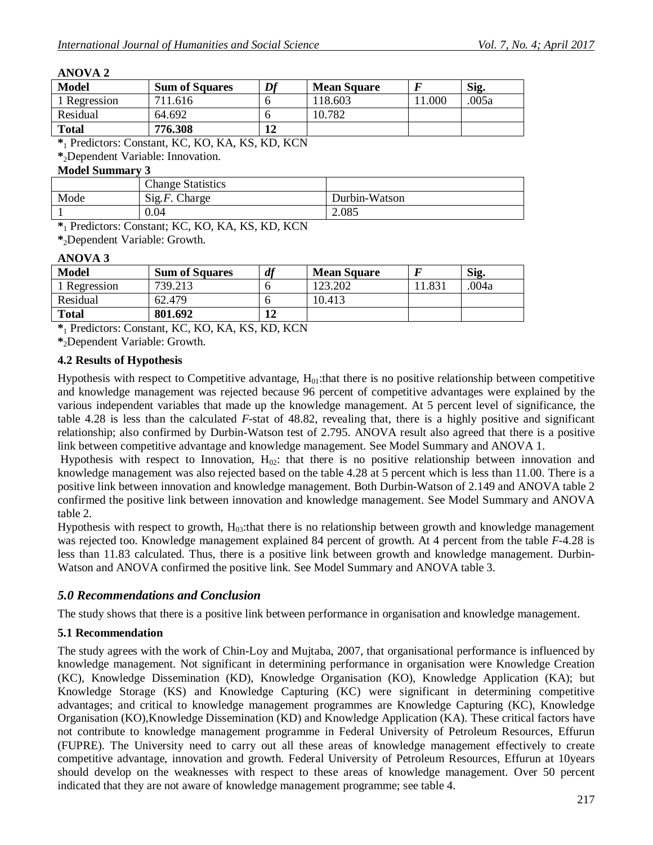### **ANOVA 2**

| <b>Model</b>                                                                                                                                                                                                                                                                                                                                                                                                    | <b>Sum of Squares</b> | Df | <b>Mean Square</b> |         | Sig. |
|-----------------------------------------------------------------------------------------------------------------------------------------------------------------------------------------------------------------------------------------------------------------------------------------------------------------------------------------------------------------------------------------------------------------|-----------------------|----|--------------------|---------|------|
| 1 Regression                                                                                                                                                                                                                                                                                                                                                                                                    | 711.616               |    | 118.603            | l 1.000 | 005a |
| Residual                                                                                                                                                                                                                                                                                                                                                                                                        | 64.692                |    | 10.782             |         |      |
| <b>Total</b>                                                                                                                                                                                                                                                                                                                                                                                                    | 776.308               |    |                    |         |      |
| $\mathbf{a}$ and $\mathbf{b}$ and $\mathbf{b}$ and $\mathbf{c}$<br>$\mathbf{r}$ $\mathbf{r}$ $\mathbf{r}$ $\mathbf{r}$ $\mathbf{r}$ $\mathbf{r}$ $\mathbf{r}$ $\mathbf{r}$ $\mathbf{r}$ $\mathbf{r}$ $\mathbf{r}$ $\mathbf{r}$ $\mathbf{r}$ $\mathbf{r}$ $\mathbf{r}$ $\mathbf{r}$ $\mathbf{r}$ $\mathbf{r}$ $\mathbf{r}$ $\mathbf{r}$ $\mathbf{r}$ $\mathbf{r}$ $\mathbf{r}$ $\mathbf{r}$ $\mathbf{$<br>$\sim$ |                       |    |                    |         |      |

**\***<sup>1</sup> Predictors: Constant, KC, KO, KA, KS, KD, KCN

**\***2Dependent Variable: Innovation.

# **Model Summary 3**

|      | <b>Change Statistics</b> |               |
|------|--------------------------|---------------|
| Mode | $Sig.F.$ Charge          | Durbin-Watson |
|      | 0.04                     | 2.085         |
|      |                          |               |

**\***<sup>1</sup> Predictors: Constant; KC, KO, KA, KS, KD, KCN

**\***2Dependent Variable: Growth.

### **ANOVA 3**

| <b>Model</b> | <b>Sum of Squares</b> | df | <b>Mean Square</b> |        | Sig.  |
|--------------|-----------------------|----|--------------------|--------|-------|
| 1 Regression | 739.213               |    | 123.202            | .1.831 | .004a |
| Residual     | 62.479                |    | 10.413             |        |       |
| <b>Total</b> | 801.692               | 11 |                    |        |       |

**\***<sup>1</sup> Predictors: Constant, KC, KO, KA, KS, KD, KCN

**\***2Dependent Variable: Growth.

### **4.2 Results of Hypothesis**

Hypothesis with respect to Competitive advantage,  $H_{01}$ :that there is no positive relationship between competitive and knowledge management was rejected because 96 percent of competitive advantages were explained by the various independent variables that made up the knowledge management. At 5 percent level of significance, the table 4.28 is less than the calculated *F*-stat of 48.82, revealing that, there is a highly positive and significant relationship; also confirmed by Durbin-Watson test of 2.795. ANOVA result also agreed that there is a positive link between competitive advantage and knowledge management. See Model Summary and ANOVA 1.

Hypothesis with respect to Innovation,  $H_{02}$ : that there is no positive relationship between innovation and knowledge management was also rejected based on the table 4.28 at 5 percent which is less than 11.00. There is a positive link between innovation and knowledge management. Both Durbin-Watson of 2.149 and ANOVA table 2 confirmed the positive link between innovation and knowledge management. See Model Summary and ANOVA table 2.

Hypothesis with respect to growth,  $H_{03}$ :that there is no relationship between growth and knowledge management was rejected too. Knowledge management explained 84 percent of growth. At 4 percent from the table *F-*4.28 is less than 11.83 calculated. Thus, there is a positive link between growth and knowledge management. Durbin-Watson and ANOVA confirmed the positive link. See Model Summary and ANOVA table 3.

# *5.0 Recommendations and Conclusion*

The study shows that there is a positive link between performance in organisation and knowledge management.

# **5.1 Recommendation**

The study agrees with the work of Chin-Loy and Mujtaba, 2007, that organisational performance is influenced by knowledge management. Not significant in determining performance in organisation were Knowledge Creation (KC), Knowledge Dissemination (KD), Knowledge Organisation (KO), Knowledge Application (KA); but Knowledge Storage (KS) and Knowledge Capturing (KC) were significant in determining competitive advantages; and critical to knowledge management programmes are Knowledge Capturing (KC), Knowledge Organisation (KO),Knowledge Dissemination (KD) and Knowledge Application (KA). These critical factors have not contribute to knowledge management programme in Federal University of Petroleum Resources, Effurun (FUPRE). The University need to carry out all these areas of knowledge management effectively to create competitive advantage, innovation and growth. Federal University of Petroleum Resources, Effurun at 10years should develop on the weaknesses with respect to these areas of knowledge management. Over 50 percent indicated that they are not aware of knowledge management programme; see table 4.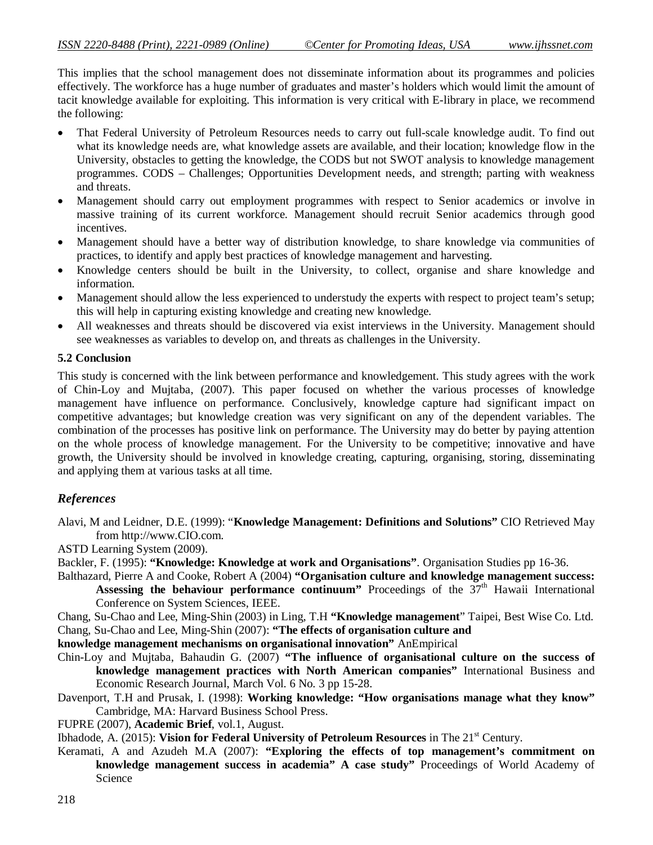This implies that the school management does not disseminate information about its programmes and policies effectively. The workforce has a huge number of graduates and master's holders which would limit the amount of tacit knowledge available for exploiting. This information is very critical with E-library in place, we recommend the following:

- That Federal University of Petroleum Resources needs to carry out full-scale knowledge audit. To find out what its knowledge needs are, what knowledge assets are available, and their location; knowledge flow in the University, obstacles to getting the knowledge, the CODS but not SWOT analysis to knowledge management programmes. CODS – Challenges; Opportunities Development needs, and strength; parting with weakness and threats.
- Management should carry out employment programmes with respect to Senior academics or involve in massive training of its current workforce. Management should recruit Senior academics through good incentives.
- Management should have a better way of distribution knowledge, to share knowledge via communities of practices, to identify and apply best practices of knowledge management and harvesting.
- Knowledge centers should be built in the University, to collect, organise and share knowledge and information.
- Management should allow the less experienced to understudy the experts with respect to project team's setup; this will help in capturing existing knowledge and creating new knowledge.
- All weaknesses and threats should be discovered via exist interviews in the University. Management should see weaknesses as variables to develop on, and threats as challenges in the University.

# **5.2 Conclusion**

This study is concerned with the link between performance and knowledgement. This study agrees with the work of Chin-Loy and Mujtaba, (2007). This paper focused on whether the various processes of knowledge management have influence on performance. Conclusively, knowledge capture had significant impact on competitive advantages; but knowledge creation was very significant on any of the dependent variables. The combination of the processes has positive link on performance. The University may do better by paying attention on the whole process of knowledge management. For the University to be competitive; innovative and have growth, the University should be involved in knowledge creating, capturing, organising, storing, disseminating and applying them at various tasks at all time.

# *References*

Alavi, M and Leidner, D.E. (1999): "**Knowledge Management: Definitions and Solutions"** CIO Retrieved May from http://www.CIO.com.

ASTD Learning System (2009).

- Backler, F. (1995): **"Knowledge: Knowledge at work and Organisations"**. Organisation Studies pp 16-36.
- Balthazard, Pierre A and Cooke, Robert A (2004) **"Organisation culture and knowledge management success:**  Assessing the behaviour performance continuum" Proceedings of the  $37<sup>th</sup>$  Hawaii International Conference on System Sciences, IEEE.

Chang, Su-Chao and Lee, Ming-Shin (2003) in Ling, T.H **"Knowledge management**" Taipei, Best Wise Co. Ltd. Chang, Su-Chao and Lee, Ming-Shin (2007): **"The effects of organisation culture and** 

- **knowledge management mechanisms on organisational innovation"** AnEmpirical
- Chin-Loy and Mujtaba, Bahaudin G. (2007) **"The influence of organisational culture on the success of knowledge management practices with North American companies"** International Business and Economic Research Journal, March Vol. 6 No. 3 pp 15-28.
- Davenport, T.H and Prusak, I. (1998): **Working knowledge: "How organisations manage what they know"**  Cambridge, MA: Harvard Business School Press.
- FUPRE (2007), **Academic Brief**, vol.1, August.
- Ibhadode, A. (2015): **Vision for Federal University of Petroleum Resources** in The 21<sup>st</sup> Century.
- Keramati, A and Azudeh M.A (2007): **"Exploring the effects of top management's commitment on knowledge management success in academia" A case study"** Proceedings of World Academy of Science